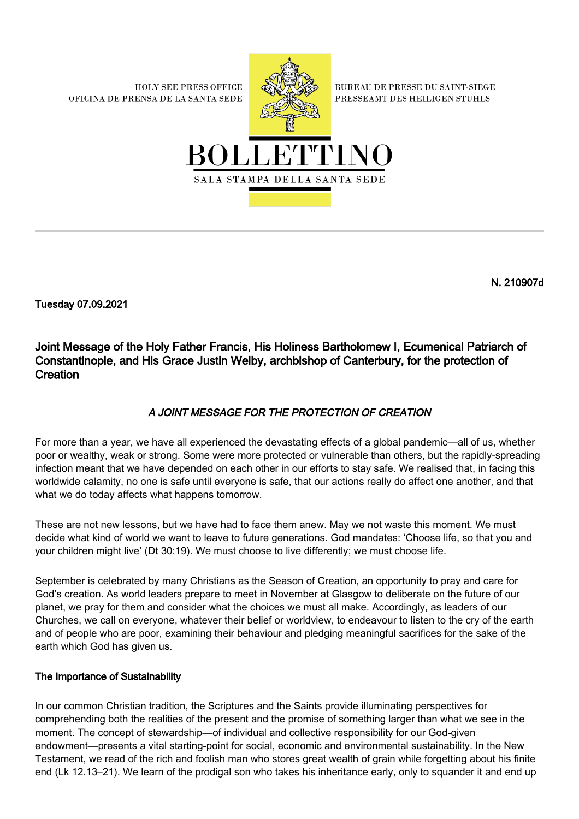**HOLY SEE PRESS OFFICE** OFICINA DE PRENSA DE LA SANTA SEDE



**BUREAU DE PRESSE DU SAINT-SIEGE** PRESSEAMT DES HEILIGEN STUHLS



N. 210907d

Tuesday 07.09.2021

Joint Message of the Holy Father Francis, His Holiness Bartholomew I, Ecumenical Patriarch of Constantinople, and His Grace Justin Welby, archbishop of Canterbury, for the protection of **Creation** 

## A JOINT MESSAGE FOR THE PROTECTION OF CREATION

For more than a year, we have all experienced the devastating effects of a global pandemic—all of us, whether poor or wealthy, weak or strong. Some were more protected or vulnerable than others, but the rapidly-spreading infection meant that we have depended on each other in our efforts to stay safe. We realised that, in facing this worldwide calamity, no one is safe until everyone is safe, that our actions really do affect one another, and that what we do today affects what happens tomorrow.

These are not new lessons, but we have had to face them anew. May we not waste this moment. We must decide what kind of world we want to leave to future generations. God mandates: 'Choose life, so that you and your children might live' (Dt 30:19). We must choose to live differently; we must choose life.

September is celebrated by many Christians as the Season of Creation, an opportunity to pray and care for God's creation. As world leaders prepare to meet in November at Glasgow to deliberate on the future of our planet, we pray for them and consider what the choices we must all make. Accordingly, as leaders of our Churches, we call on everyone, whatever their belief or worldview, to endeavour to listen to the cry of the earth and of people who are poor, examining their behaviour and pledging meaningful sacrifices for the sake of the earth which God has given us.

## The Importance of Sustainability

In our common Christian tradition, the Scriptures and the Saints provide illuminating perspectives for comprehending both the realities of the present and the promise of something larger than what we see in the moment. The concept of stewardship—of individual and collective responsibility for our God-given endowment—presents a vital starting-point for social, economic and environmental sustainability. In the New Testament, we read of the rich and foolish man who stores great wealth of grain while forgetting about his finite end (Lk 12.13–21). We learn of the prodigal son who takes his inheritance early, only to squander it and end up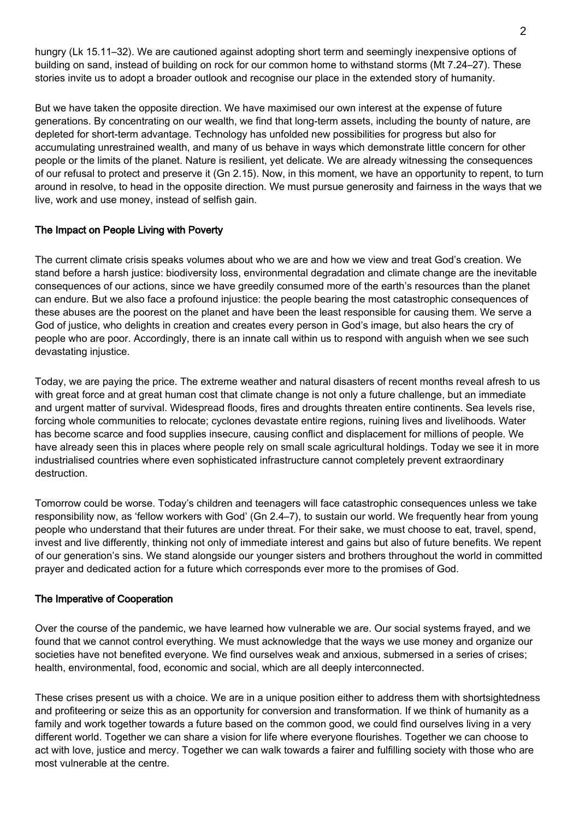hungry (Lk 15.11–32). We are cautioned against adopting short term and seemingly inexpensive options of building on sand, instead of building on rock for our common home to withstand storms (Mt 7.24–27). These stories invite us to adopt a broader outlook and recognise our place in the extended story of humanity.

But we have taken the opposite direction. We have maximised our own interest at the expense of future generations. By concentrating on our wealth, we find that long-term assets, including the bounty of nature, are depleted for short-term advantage. Technology has unfolded new possibilities for progress but also for accumulating unrestrained wealth, and many of us behave in ways which demonstrate little concern for other people or the limits of the planet. Nature is resilient, yet delicate. We are already witnessing the consequences of our refusal to protect and preserve it (Gn 2.15). Now, in this moment, we have an opportunity to repent, to turn around in resolve, to head in the opposite direction. We must pursue generosity and fairness in the ways that we live, work and use money, instead of selfish gain.

## The Impact on People Living with Poverty

The current climate crisis speaks volumes about who we are and how we view and treat God's creation. We stand before a harsh justice: biodiversity loss, environmental degradation and climate change are the inevitable consequences of our actions, since we have greedily consumed more of the earth's resources than the planet can endure. But we also face a profound injustice: the people bearing the most catastrophic consequences of these abuses are the poorest on the planet and have been the least responsible for causing them. We serve a God of justice, who delights in creation and creates every person in God's image, but also hears the cry of people who are poor. Accordingly, there is an innate call within us to respond with anguish when we see such devastating injustice.

Today, we are paying the price. The extreme weather and natural disasters of recent months reveal afresh to us with great force and at great human cost that climate change is not only a future challenge, but an immediate and urgent matter of survival. Widespread floods, fires and droughts threaten entire continents. Sea levels rise, forcing whole communities to relocate; cyclones devastate entire regions, ruining lives and livelihoods. Water has become scarce and food supplies insecure, causing conflict and displacement for millions of people. We have already seen this in places where people rely on small scale agricultural holdings. Today we see it in more industrialised countries where even sophisticated infrastructure cannot completely prevent extraordinary destruction.

Tomorrow could be worse. Today's children and teenagers will face catastrophic consequences unless we take responsibility now, as 'fellow workers with God' (Gn 2.4–7), to sustain our world. We frequently hear from young people who understand that their futures are under threat. For their sake, we must choose to eat, travel, spend, invest and live differently, thinking not only of immediate interest and gains but also of future benefits. We repent of our generation's sins. We stand alongside our younger sisters and brothers throughout the world in committed prayer and dedicated action for a future which corresponds ever more to the promises of God.

## The Imperative of Cooperation

Over the course of the pandemic, we have learned how vulnerable we are. Our social systems frayed, and we found that we cannot control everything. We must acknowledge that the ways we use money and organize our societies have not benefited everyone. We find ourselves weak and anxious, submersed in a series of crises; health, environmental, food, economic and social, which are all deeply interconnected.

These crises present us with a choice. We are in a unique position either to address them with shortsightedness and profiteering or seize this as an opportunity for conversion and transformation. If we think of humanity as a family and work together towards a future based on the common good, we could find ourselves living in a very different world. Together we can share a vision for life where everyone flourishes. Together we can choose to act with love, justice and mercy. Together we can walk towards a fairer and fulfilling society with those who are most vulnerable at the centre.